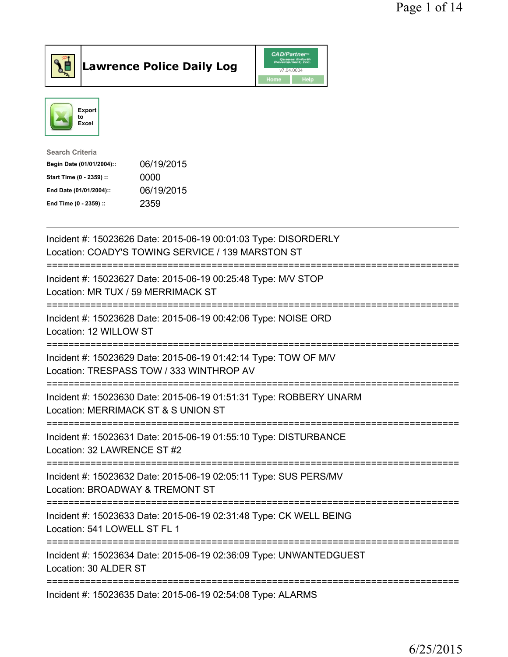

Lawrence Police Daily Log CAD/Partners



| Search Criteria           |            |
|---------------------------|------------|
| Begin Date (01/01/2004):: | 06/19/2015 |
| Start Time (0 - 2359) ::  | 0000       |
| End Date (01/01/2004)::   | 06/19/2015 |
| End Time (0 - 2359) ::    | 2359       |
|                           |            |

| Incident #: 15023626 Date: 2015-06-19 00:01:03 Type: DISORDERLY<br>Location: COADY'S TOWING SERVICE / 139 MARSTON ST                           |
|------------------------------------------------------------------------------------------------------------------------------------------------|
| Incident #: 15023627 Date: 2015-06-19 00:25:48 Type: M/V STOP<br>Location: MR TUX / 59 MERRIMACK ST<br>-------------------                     |
| Incident #: 15023628 Date: 2015-06-19 00:42:06 Type: NOISE ORD<br>Location: 12 WILLOW ST<br>--------------                                     |
| Incident #: 15023629 Date: 2015-06-19 01:42:14 Type: TOW OF M/V<br>Location: TRESPASS TOW / 333 WINTHROP AV<br>=============================== |
| Incident #: 15023630 Date: 2015-06-19 01:51:31 Type: ROBBERY UNARM<br>Location: MERRIMACK ST & S UNION ST<br>==========================        |
| Incident #: 15023631 Date: 2015-06-19 01:55:10 Type: DISTURBANCE<br>Location: 32 LAWRENCE ST #2                                                |
| Incident #: 15023632 Date: 2015-06-19 02:05:11 Type: SUS PERS/MV<br>Location: BROADWAY & TREMONT ST<br>============================            |
| Incident #: 15023633 Date: 2015-06-19 02:31:48 Type: CK WELL BEING<br>Location: 541 LOWELL ST FL 1                                             |
| Incident #: 15023634 Date: 2015-06-19 02:36:09 Type: UNWANTEDGUEST<br>Location: 30 ALDER ST                                                    |
| Incident #: 15023635 Date: 2015-06-19 02:54:08 Type: ALARMS                                                                                    |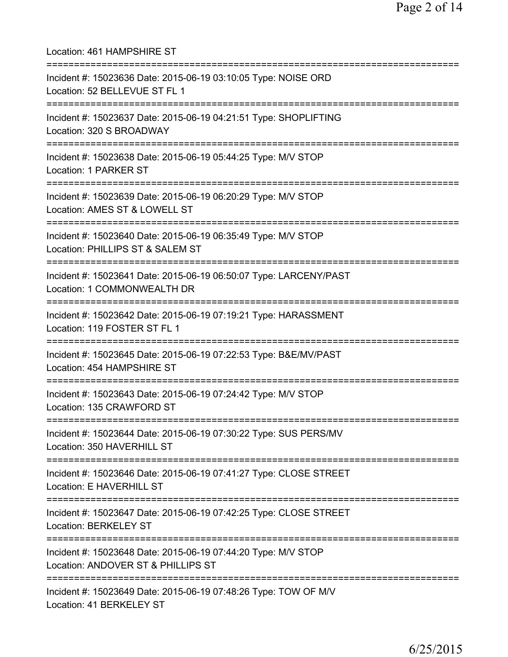Location: 461 HAMPSHIRE ST =========================================================================== Incident #: 15023636 Date: 2015-06-19 03:10:05 Type: NOISE ORD Location: 52 BELLEVUE ST FL 1 =========================================================================== Incident #: 15023637 Date: 2015-06-19 04:21:51 Type: SHOPLIFTING Location: 320 S BROADWAY =========================================================================== Incident #: 15023638 Date: 2015-06-19 05:44:25 Type: M/V STOP Location: 1 PARKER ST =========================================================================== Incident #: 15023639 Date: 2015-06-19 06:20:29 Type: M/V STOP Location: AMES ST & LOWELL ST =========================================================================== Incident #: 15023640 Date: 2015-06-19 06:35:49 Type: M/V STOP Location: PHILLIPS ST & SALEM ST =========================================================================== Incident #: 15023641 Date: 2015-06-19 06:50:07 Type: LARCENY/PAST Location: 1 COMMONWEALTH DR =========================================================================== Incident #: 15023642 Date: 2015-06-19 07:19:21 Type: HARASSMENT Location: 119 FOSTER ST FL 1 =========================================================================== Incident #: 15023645 Date: 2015-06-19 07:22:53 Type: B&E/MV/PAST Location: 454 HAMPSHIRE ST =========================================================================== Incident #: 15023643 Date: 2015-06-19 07:24:42 Type: M/V STOP Location: 135 CRAWFORD ST =========================================================================== Incident #: 15023644 Date: 2015-06-19 07:30:22 Type: SUS PERS/MV Location: 350 HAVERHILL ST =========================================================================== Incident #: 15023646 Date: 2015-06-19 07:41:27 Type: CLOSE STREET Location: E HAVERHILL ST =========================================================================== Incident #: 15023647 Date: 2015-06-19 07:42:25 Type: CLOSE STREET Location: BERKELEY ST =========================================================================== Incident #: 15023648 Date: 2015-06-19 07:44:20 Type: M/V STOP Location: ANDOVER ST & PHILLIPS ST =========================================================================== Incident #: 15023649 Date: 2015-06-19 07:48:26 Type: TOW OF M/V Location: 41 BERKELEY ST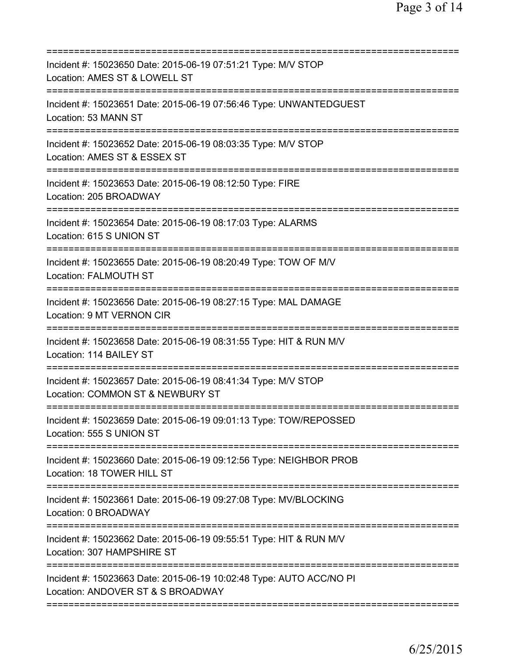| ===========================                                                                                                       |
|-----------------------------------------------------------------------------------------------------------------------------------|
| Incident #: 15023650 Date: 2015-06-19 07:51:21 Type: M/V STOP<br>Location: AMES ST & LOWELL ST                                    |
| Incident #: 15023651 Date: 2015-06-19 07:56:46 Type: UNWANTEDGUEST<br>Location: 53 MANN ST                                        |
| Incident #: 15023652 Date: 2015-06-19 08:03:35 Type: M/V STOP<br>Location: AMES ST & ESSEX ST                                     |
| Incident #: 15023653 Date: 2015-06-19 08:12:50 Type: FIRE<br>Location: 205 BROADWAY                                               |
| Incident #: 15023654 Date: 2015-06-19 08:17:03 Type: ALARMS<br>Location: 615 S UNION ST                                           |
| Incident #: 15023655 Date: 2015-06-19 08:20:49 Type: TOW OF M/V<br>Location: FALMOUTH ST<br>=============                         |
| Incident #: 15023656 Date: 2015-06-19 08:27:15 Type: MAL DAMAGE<br>Location: 9 MT VERNON CIR                                      |
| Incident #: 15023658 Date: 2015-06-19 08:31:55 Type: HIT & RUN M/V<br>Location: 114 BAILEY ST<br>:=============================== |
| Incident #: 15023657 Date: 2015-06-19 08:41:34 Type: M/V STOP<br>Location: COMMON ST & NEWBURY ST                                 |
| Incident #: 15023659 Date: 2015-06-19 09:01:13 Type: TOW/REPOSSED<br>Location: 555 S UNION ST<br>=============================    |
| Incident #: 15023660 Date: 2015-06-19 09:12:56 Type: NEIGHBOR PROB<br>Location: 18 TOWER HILL ST                                  |
| Incident #: 15023661 Date: 2015-06-19 09:27:08 Type: MV/BLOCKING<br>Location: 0 BROADWAY                                          |
| Incident #: 15023662 Date: 2015-06-19 09:55:51 Type: HIT & RUN M/V<br>Location: 307 HAMPSHIRE ST                                  |
| Incident #: 15023663 Date: 2015-06-19 10:02:48 Type: AUTO ACC/NO PI<br>Location: ANDOVER ST & S BROADWAY                          |
|                                                                                                                                   |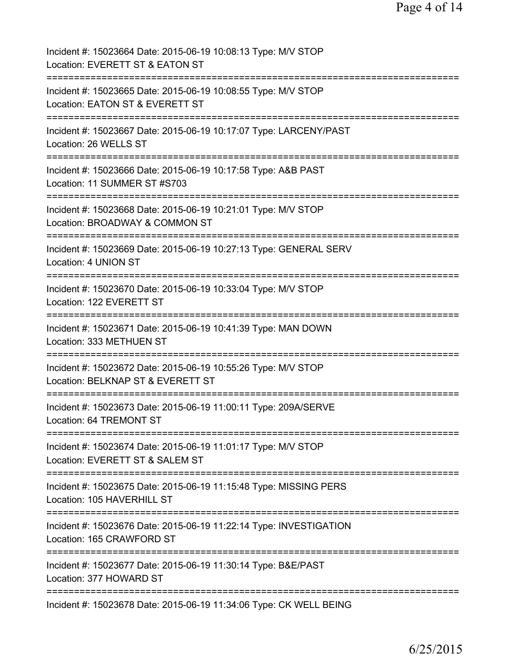| Incident #: 15023664 Date: 2015-06-19 10:08:13 Type: M/V STOP<br>Location: EVERETT ST & EATON ST                                  |
|-----------------------------------------------------------------------------------------------------------------------------------|
| Incident #: 15023665 Date: 2015-06-19 10:08:55 Type: M/V STOP<br>Location: EATON ST & EVERETT ST                                  |
| Incident #: 15023667 Date: 2015-06-19 10:17:07 Type: LARCENY/PAST<br>Location: 26 WELLS ST                                        |
| Incident #: 15023666 Date: 2015-06-19 10:17:58 Type: A&B PAST<br>Location: 11 SUMMER ST #S703                                     |
| Incident #: 15023668 Date: 2015-06-19 10:21:01 Type: M/V STOP<br>Location: BROADWAY & COMMON ST                                   |
| Incident #: 15023669 Date: 2015-06-19 10:27:13 Type: GENERAL SERV<br>Location: 4 UNION ST                                         |
| Incident #: 15023670 Date: 2015-06-19 10:33:04 Type: M/V STOP<br>Location: 122 EVERETT ST<br>:=================================== |
| Incident #: 15023671 Date: 2015-06-19 10:41:39 Type: MAN DOWN<br>Location: 333 METHUEN ST                                         |
| Incident #: 15023672 Date: 2015-06-19 10:55:26 Type: M/V STOP<br>Location: BELKNAP ST & EVERETT ST                                |
| Incident #: 15023673 Date: 2015-06-19 11:00:11 Type: 209A/SERVE<br>Location: 64 TREMONT ST                                        |
| Incident #: 15023674 Date: 2015-06-19 11:01:17 Type: M/V STOP<br>Location: EVERETT ST & SALEM ST                                  |
| Incident #: 15023675 Date: 2015-06-19 11:15:48 Type: MISSING PERS<br>Location: 105 HAVERHILL ST                                   |
| Incident #: 15023676 Date: 2015-06-19 11:22:14 Type: INVESTIGATION<br>Location: 165 CRAWFORD ST                                   |
| Incident #: 15023677 Date: 2015-06-19 11:30:14 Type: B&E/PAST<br>Location: 377 HOWARD ST                                          |
| Incident #: 15023678 Date: 2015-06-19 11:34:06 Type: CK WELL BEING                                                                |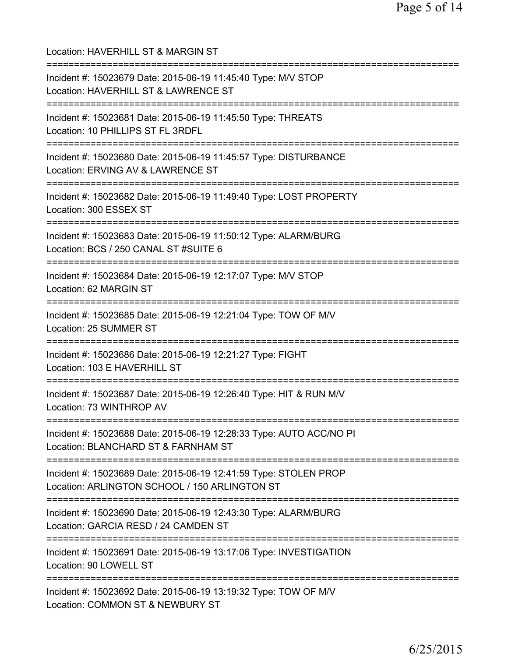Location: HAVERHILL ST & MARGIN ST =========================================================================== Incident #: 15023679 Date: 2015-06-19 11:45:40 Type: M/V STOP Location: HAVERHILL ST & LAWRENCE ST =========================================================================== Incident #: 15023681 Date: 2015-06-19 11:45:50 Type: THREATS Location: 10 PHILLIPS ST FL 3RDFL =========================================================================== Incident #: 15023680 Date: 2015-06-19 11:45:57 Type: DISTURBANCE Location: ERVING AV & LAWRENCE ST =========================================================================== Incident #: 15023682 Date: 2015-06-19 11:49:40 Type: LOST PROPERTY Location: 300 ESSEX ST =========================================================================== Incident #: 15023683 Date: 2015-06-19 11:50:12 Type: ALARM/BURG Location: BCS / 250 CANAL ST #SUITE 6 =========================================================================== Incident #: 15023684 Date: 2015-06-19 12:17:07 Type: M/V STOP Location: 62 MARGIN ST =========================================================================== Incident #: 15023685 Date: 2015-06-19 12:21:04 Type: TOW OF M/V Location: 25 SUMMER ST =========================================================================== Incident #: 15023686 Date: 2015-06-19 12:21:27 Type: FIGHT Location: 103 E HAVERHILL ST =========================================================================== Incident #: 15023687 Date: 2015-06-19 12:26:40 Type: HIT & RUN M/V Location: 73 WINTHROP AV =========================================================================== Incident #: 15023688 Date: 2015-06-19 12:28:33 Type: AUTO ACC/NO PI Location: BLANCHARD ST & FARNHAM ST =========================================================================== Incident #: 15023689 Date: 2015-06-19 12:41:59 Type: STOLEN PROP Location: ARLINGTON SCHOOL / 150 ARLINGTON ST =========================================================================== Incident #: 15023690 Date: 2015-06-19 12:43:30 Type: ALARM/BURG Location: GARCIA RESD / 24 CAMDEN ST =========================================================================== Incident #: 15023691 Date: 2015-06-19 13:17:06 Type: INVESTIGATION Location: 90 LOWELL ST =========================================================================== Incident #: 15023692 Date: 2015-06-19 13:19:32 Type: TOW OF M/V Location: COMMON ST & NEWBURY ST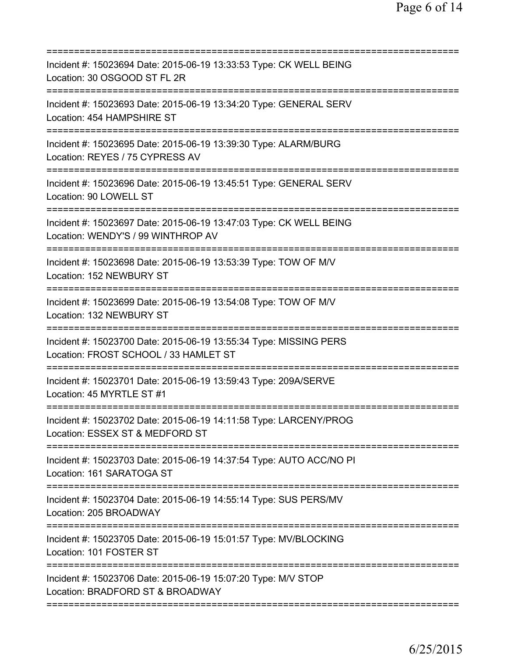| Incident #: 15023694 Date: 2015-06-19 13:33:53 Type: CK WELL BEING<br>Location: 30 OSGOOD ST FL 2R                                   |
|--------------------------------------------------------------------------------------------------------------------------------------|
| Incident #: 15023693 Date: 2015-06-19 13:34:20 Type: GENERAL SERV<br>Location: 454 HAMPSHIRE ST                                      |
| Incident #: 15023695 Date: 2015-06-19 13:39:30 Type: ALARM/BURG<br>Location: REYES / 75 CYPRESS AV                                   |
| Incident #: 15023696 Date: 2015-06-19 13:45:51 Type: GENERAL SERV<br>Location: 90 LOWELL ST                                          |
| Incident #: 15023697 Date: 2015-06-19 13:47:03 Type: CK WELL BEING<br>Location: WENDY'S / 99 WINTHROP AV                             |
| Incident #: 15023698 Date: 2015-06-19 13:53:39 Type: TOW OF M/V<br>Location: 152 NEWBURY ST<br>===================================== |
| Incident #: 15023699 Date: 2015-06-19 13:54:08 Type: TOW OF M/V<br>Location: 132 NEWBURY ST<br>-------------                         |
| Incident #: 15023700 Date: 2015-06-19 13:55:34 Type: MISSING PERS<br>Location: FROST SCHOOL / 33 HAMLET ST                           |
| Incident #: 15023701 Date: 2015-06-19 13:59:43 Type: 209A/SERVE<br>Location: 45 MYRTLE ST #1                                         |
| Incident #: 15023702 Date: 2015-06-19 14:11:58 Type: LARCENY/PROG<br>Location: ESSEX ST & MEDFORD ST                                 |
| Incident #: 15023703 Date: 2015-06-19 14:37:54 Type: AUTO ACC/NO PI<br>Location: 161 SARATOGA ST                                     |
| Incident #: 15023704 Date: 2015-06-19 14:55:14 Type: SUS PERS/MV<br>Location: 205 BROADWAY                                           |
| Incident #: 15023705 Date: 2015-06-19 15:01:57 Type: MV/BLOCKING<br>Location: 101 FOSTER ST                                          |
| Incident #: 15023706 Date: 2015-06-19 15:07:20 Type: M/V STOP<br>Location: BRADFORD ST & BROADWAY                                    |
|                                                                                                                                      |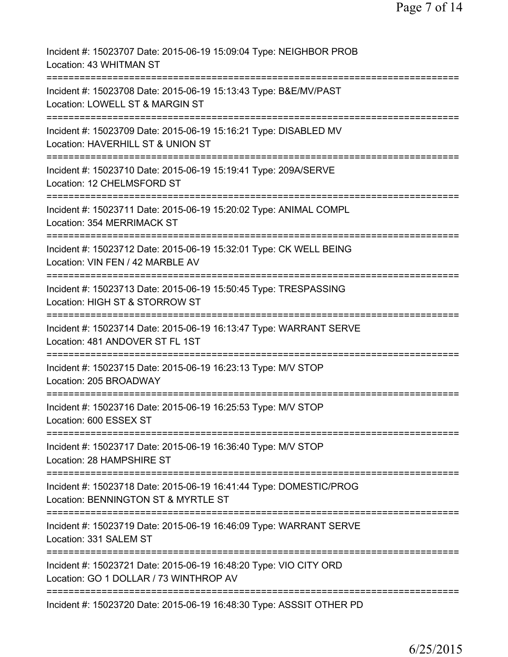Incident #: 15023707 Date: 2015-06-19 15:09:04 Type: NEIGHBOR PROB Location: 43 WHITMAN ST =========================================================================== Incident #: 15023708 Date: 2015-06-19 15:13:43 Type: B&E/MV/PAST Location: LOWELL ST & MARGIN ST =========================================================================== Incident #: 15023709 Date: 2015-06-19 15:16:21 Type: DISABLED MV Location: HAVERHILL ST & UNION ST =========================================================================== Incident #: 15023710 Date: 2015-06-19 15:19:41 Type: 209A/SERVE Location: 12 CHELMSFORD ST =========================================================================== Incident #: 15023711 Date: 2015-06-19 15:20:02 Type: ANIMAL COMPL Location: 354 MERRIMACK ST =========================================================================== Incident #: 15023712 Date: 2015-06-19 15:32:01 Type: CK WELL BEING Location: VIN FEN / 42 MARBLE AV =========================================================================== Incident #: 15023713 Date: 2015-06-19 15:50:45 Type: TRESPASSING Location: HIGH ST & STORROW ST =========================================================================== Incident #: 15023714 Date: 2015-06-19 16:13:47 Type: WARRANT SERVE Location: 481 ANDOVER ST FL 1ST =========================================================================== Incident #: 15023715 Date: 2015-06-19 16:23:13 Type: M/V STOP Location: 205 BROADWAY =========================================================================== Incident #: 15023716 Date: 2015-06-19 16:25:53 Type: M/V STOP Location: 600 ESSEX ST =========================================================================== Incident #: 15023717 Date: 2015-06-19 16:36:40 Type: M/V STOP Location: 28 HAMPSHIRE ST =========================================================================== Incident #: 15023718 Date: 2015-06-19 16:41:44 Type: DOMESTIC/PROG Location: BENNINGTON ST & MYRTLE ST =========================================================================== Incident #: 15023719 Date: 2015-06-19 16:46:09 Type: WARRANT SERVE Location: 331 SALEM ST =========================================================================== Incident #: 15023721 Date: 2015-06-19 16:48:20 Type: VIO CITY ORD Location: GO 1 DOLLAR / 73 WINTHROP AV =========================================================================== Incident #: 15023720 Date: 2015-06-19 16:48:30 Type: ASSSIT OTHER PD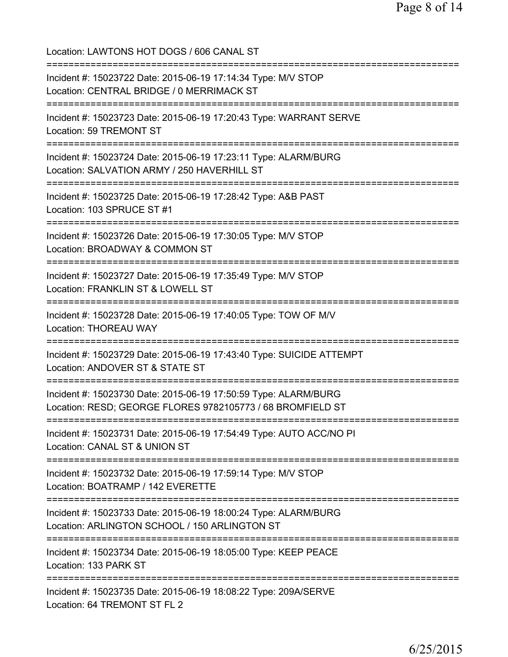Location: LAWTONS HOT DOGS / 606 CANAL ST =========================================================================== Incident #: 15023722 Date: 2015-06-19 17:14:34 Type: M/V STOP Location: CENTRAL BRIDGE / 0 MERRIMACK ST =========================================================================== Incident #: 15023723 Date: 2015-06-19 17:20:43 Type: WARRANT SERVE Location: 59 TREMONT ST =========================================================================== Incident #: 15023724 Date: 2015-06-19 17:23:11 Type: ALARM/BURG Location: SALVATION ARMY / 250 HAVERHILL ST =========================================================================== Incident #: 15023725 Date: 2015-06-19 17:28:42 Type: A&B PAST Location: 103 SPRUCE ST #1 =========================================================================== Incident #: 15023726 Date: 2015-06-19 17:30:05 Type: M/V STOP Location: BROADWAY & COMMON ST =========================================================================== Incident #: 15023727 Date: 2015-06-19 17:35:49 Type: M/V STOP Location: FRANKLIN ST & LOWELL ST =========================================================================== Incident #: 15023728 Date: 2015-06-19 17:40:05 Type: TOW OF M/V Location: THOREAU WAY =========================================================================== Incident #: 15023729 Date: 2015-06-19 17:43:40 Type: SUICIDE ATTEMPT Location: ANDOVER ST & STATE ST =========================================================================== Incident #: 15023730 Date: 2015-06-19 17:50:59 Type: ALARM/BURG Location: RESD; GEORGE FLORES 9782105773 / 68 BROMFIELD ST =========================================================================== Incident #: 15023731 Date: 2015-06-19 17:54:49 Type: AUTO ACC/NO PI Location: CANAL ST & UNION ST =========================================================================== Incident #: 15023732 Date: 2015-06-19 17:59:14 Type: M/V STOP Location: BOATRAMP / 142 EVERETTE =========================================================================== Incident #: 15023733 Date: 2015-06-19 18:00:24 Type: ALARM/BURG Location: ARLINGTON SCHOOL / 150 ARLINGTON ST =========================================================================== Incident #: 15023734 Date: 2015-06-19 18:05:00 Type: KEEP PEACE Location: 133 PARK ST =========================================================================== Incident #: 15023735 Date: 2015-06-19 18:08:22 Type: 209A/SERVE Location: 64 TREMONT ST FL 2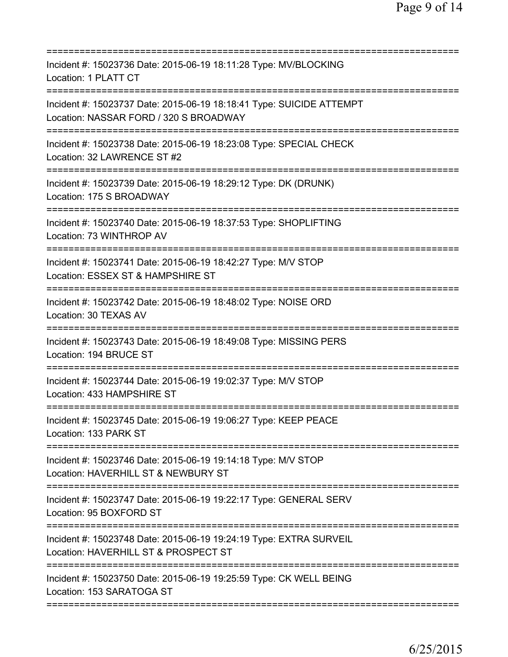| Incident #: 15023736 Date: 2015-06-19 18:11:28 Type: MV/BLOCKING<br>Location: 1 PLATT CT                               |
|------------------------------------------------------------------------------------------------------------------------|
| Incident #: 15023737 Date: 2015-06-19 18:18:41 Type: SUICIDE ATTEMPT<br>Location: NASSAR FORD / 320 S BROADWAY         |
| Incident #: 15023738 Date: 2015-06-19 18:23:08 Type: SPECIAL CHECK<br>Location: 32 LAWRENCE ST #2                      |
| Incident #: 15023739 Date: 2015-06-19 18:29:12 Type: DK (DRUNK)<br>Location: 175 S BROADWAY                            |
| Incident #: 15023740 Date: 2015-06-19 18:37:53 Type: SHOPLIFTING<br>Location: 73 WINTHROP AV                           |
| Incident #: 15023741 Date: 2015-06-19 18:42:27 Type: M/V STOP<br>Location: ESSEX ST & HAMPSHIRE ST                     |
| Incident #: 15023742 Date: 2015-06-19 18:48:02 Type: NOISE ORD<br>Location: 30 TEXAS AV<br>=========================== |
| Incident #: 15023743 Date: 2015-06-19 18:49:08 Type: MISSING PERS<br>Location: 194 BRUCE ST                            |
| Incident #: 15023744 Date: 2015-06-19 19:02:37 Type: M/V STOP<br>Location: 433 HAMPSHIRE ST                            |
| Incident #: 15023745 Date: 2015-06-19 19:06:27 Type: KEEP PEACE<br>Location: 133 PARK ST                               |
| Incident #: 15023746 Date: 2015-06-19 19:14:18 Type: M/V STOP<br>Location: HAVERHILL ST & NEWBURY ST                   |
| Incident #: 15023747 Date: 2015-06-19 19:22:17 Type: GENERAL SERV<br>Location: 95 BOXFORD ST                           |
| Incident #: 15023748 Date: 2015-06-19 19:24:19 Type: EXTRA SURVEIL<br>Location: HAVERHILL ST & PROSPECT ST             |
| Incident #: 15023750 Date: 2015-06-19 19:25:59 Type: CK WELL BEING<br>Location: 153 SARATOGA ST                        |
|                                                                                                                        |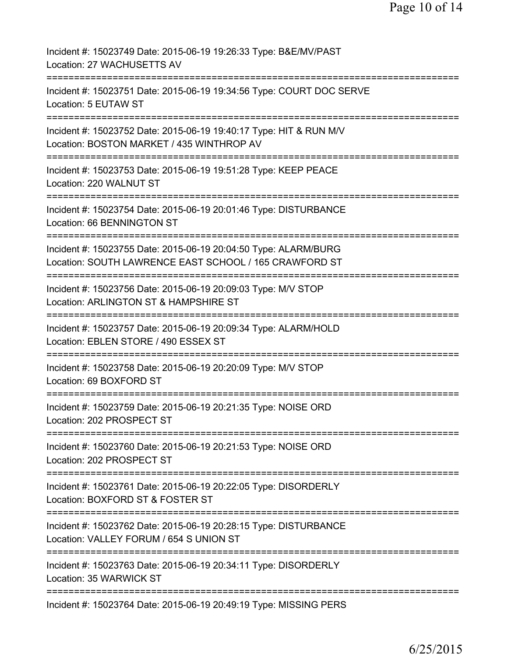| Incident #: 15023749 Date: 2015-06-19 19:26:33 Type: B&E/MV/PAST<br>Location: 27 WACHUSETTS AV                            |
|---------------------------------------------------------------------------------------------------------------------------|
| Incident #: 15023751 Date: 2015-06-19 19:34:56 Type: COURT DOC SERVE<br>Location: 5 EUTAW ST                              |
| Incident #: 15023752 Date: 2015-06-19 19:40:17 Type: HIT & RUN M/V<br>Location: BOSTON MARKET / 435 WINTHROP AV           |
| Incident #: 15023753 Date: 2015-06-19 19:51:28 Type: KEEP PEACE<br>Location: 220 WALNUT ST                                |
| Incident #: 15023754 Date: 2015-06-19 20:01:46 Type: DISTURBANCE<br>Location: 66 BENNINGTON ST                            |
| Incident #: 15023755 Date: 2015-06-19 20:04:50 Type: ALARM/BURG<br>Location: SOUTH LAWRENCE EAST SCHOOL / 165 CRAWFORD ST |
| Incident #: 15023756 Date: 2015-06-19 20:09:03 Type: M/V STOP<br>Location: ARLINGTON ST & HAMPSHIRE ST                    |
| Incident #: 15023757 Date: 2015-06-19 20:09:34 Type: ALARM/HOLD<br>Location: EBLEN STORE / 490 ESSEX ST                   |
| Incident #: 15023758 Date: 2015-06-19 20:20:09 Type: M/V STOP<br>Location: 69 BOXFORD ST                                  |
| Incident #: 15023759 Date: 2015-06-19 20:21:35 Type: NOISE ORD<br>Location: 202 PROSPECT ST                               |
| Incident #: 15023760 Date: 2015-06-19 20:21:53 Type: NOISE ORD<br>Location: 202 PROSPECT ST                               |
| Incident #: 15023761 Date: 2015-06-19 20:22:05 Type: DISORDERLY<br>Location: BOXFORD ST & FOSTER ST                       |
| Incident #: 15023762 Date: 2015-06-19 20:28:15 Type: DISTURBANCE<br>Location: VALLEY FORUM / 654 S UNION ST               |
| Incident #: 15023763 Date: 2015-06-19 20:34:11 Type: DISORDERLY<br>Location: 35 WARWICK ST                                |
| Incident #: 15023764 Date: 2015-06-19 20:49:19 Type: MISSING PERS                                                         |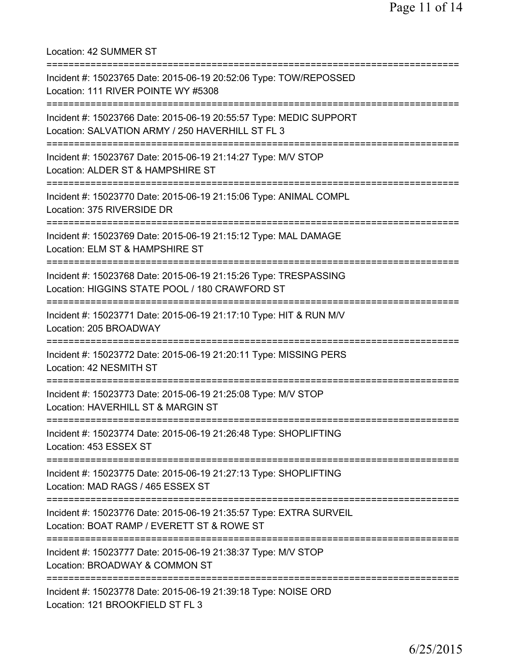Location: 42 SUMMER ST =========================================================================== Incident #: 15023765 Date: 2015-06-19 20:52:06 Type: TOW/REPOSSED Location: 111 RIVER POINTE WY #5308 =========================================================================== Incident #: 15023766 Date: 2015-06-19 20:55:57 Type: MEDIC SUPPORT Location: SALVATION ARMY / 250 HAVERHILL ST FL 3 =========================================================================== Incident #: 15023767 Date: 2015-06-19 21:14:27 Type: M/V STOP Location: ALDER ST & HAMPSHIRE ST =========================================================================== Incident #: 15023770 Date: 2015-06-19 21:15:06 Type: ANIMAL COMPL Location: 375 RIVERSIDE DR =========================================================================== Incident #: 15023769 Date: 2015-06-19 21:15:12 Type: MAL DAMAGE Location: ELM ST & HAMPSHIRE ST =========================================================================== Incident #: 15023768 Date: 2015-06-19 21:15:26 Type: TRESPASSING Location: HIGGINS STATE POOL / 180 CRAWFORD ST =========================================================================== Incident #: 15023771 Date: 2015-06-19 21:17:10 Type: HIT & RUN M/V Location: 205 BROADWAY =========================================================================== Incident #: 15023772 Date: 2015-06-19 21:20:11 Type: MISSING PERS Location: 42 NESMITH ST =========================================================================== Incident #: 15023773 Date: 2015-06-19 21:25:08 Type: M/V STOP Location: HAVERHILL ST & MARGIN ST =========================================================================== Incident #: 15023774 Date: 2015-06-19 21:26:48 Type: SHOPLIFTING Location: 453 ESSEX ST =========================================================================== Incident #: 15023775 Date: 2015-06-19 21:27:13 Type: SHOPLIFTING Location: MAD RAGS / 465 ESSEX ST =========================================================================== Incident #: 15023776 Date: 2015-06-19 21:35:57 Type: EXTRA SURVEIL Location: BOAT RAMP / EVERETT ST & ROWE ST =========================================================================== Incident #: 15023777 Date: 2015-06-19 21:38:37 Type: M/V STOP Location: BROADWAY & COMMON ST =========================================================================== Incident #: 15023778 Date: 2015-06-19 21:39:18 Type: NOISE ORD Location: 121 BROOKFIELD ST FL 3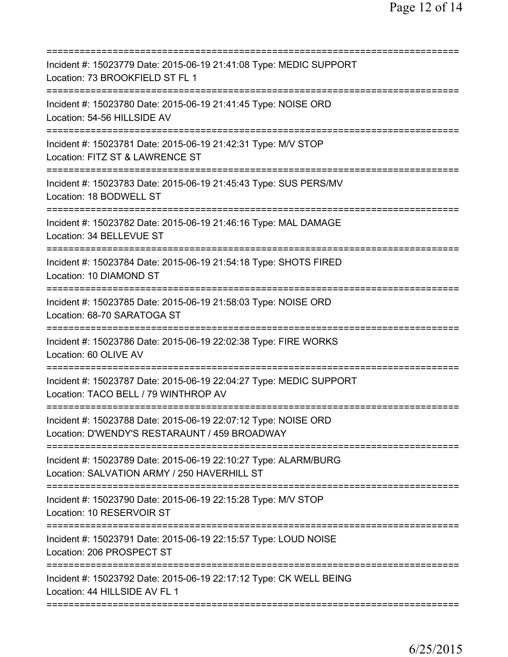| Incident #: 15023779 Date: 2015-06-19 21:41:08 Type: MEDIC SUPPORT<br>Location: 73 BROOKFIELD ST FL 1                   |
|-------------------------------------------------------------------------------------------------------------------------|
| Incident #: 15023780 Date: 2015-06-19 21:41:45 Type: NOISE ORD<br>Location: 54-56 HILLSIDE AV                           |
| Incident #: 15023781 Date: 2015-06-19 21:42:31 Type: M/V STOP<br>Location: FITZ ST & LAWRENCE ST<br>=================== |
| Incident #: 15023783 Date: 2015-06-19 21:45:43 Type: SUS PERS/MV<br>Location: 18 BODWELL ST                             |
| Incident #: 15023782 Date: 2015-06-19 21:46:16 Type: MAL DAMAGE<br>Location: 34 BELLEVUE ST                             |
| Incident #: 15023784 Date: 2015-06-19 21:54:18 Type: SHOTS FIRED<br>Location: 10 DIAMOND ST                             |
| Incident #: 15023785 Date: 2015-06-19 21:58:03 Type: NOISE ORD<br>Location: 68-70 SARATOGA ST<br>----------             |
| Incident #: 15023786 Date: 2015-06-19 22:02:38 Type: FIRE WORKS<br>Location: 60 OLIVE AV                                |
| Incident #: 15023787 Date: 2015-06-19 22:04:27 Type: MEDIC SUPPORT<br>Location: TACO BELL / 79 WINTHROP AV              |
| Incident #: 15023788 Date: 2015-06-19 22:07:12 Type: NOISE ORD<br>Location: D'WENDY'S RESTARAUNT / 459 BROADWAY         |
| Incident #: 15023789 Date: 2015-06-19 22:10:27 Type: ALARM/BURG<br>Location: SALVATION ARMY / 250 HAVERHILL ST          |
| Incident #: 15023790 Date: 2015-06-19 22:15:28 Type: M/V STOP<br>Location: 10 RESERVOIR ST                              |
| Incident #: 15023791 Date: 2015-06-19 22:15:57 Type: LOUD NOISE<br>Location: 206 PROSPECT ST                            |
| Incident #: 15023792 Date: 2015-06-19 22:17:12 Type: CK WELL BEING<br>Location: 44 HILLSIDE AV FL 1                     |
|                                                                                                                         |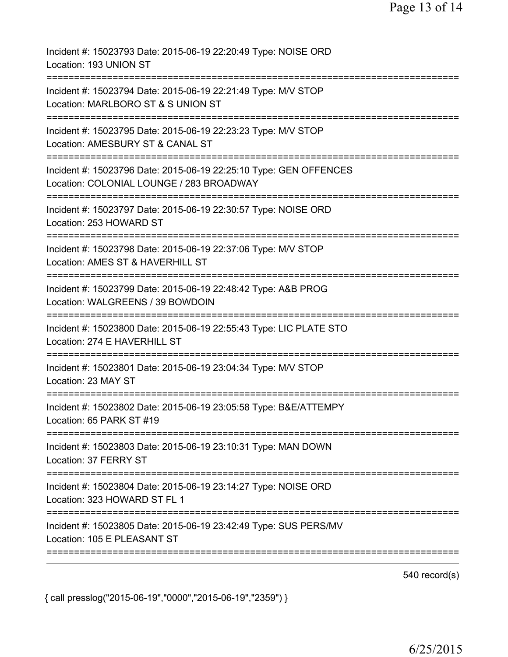Incident #: 15023793 Date: 2015-06-19 22:20:49 Type: NOISE ORD Location: 193 UNION ST =========================================================================== Incident #: 15023794 Date: 2015-06-19 22:21:49 Type: M/V STOP Location: MARLBORO ST & S UNION ST =========================================================================== Incident #: 15023795 Date: 2015-06-19 22:23:23 Type: M/V STOP Location: AMESBURY ST & CANAL ST =========================================================================== Incident #: 15023796 Date: 2015-06-19 22:25:10 Type: GEN OFFENCES Location: COLONIAL LOUNGE / 283 BROADWAY =========================================================================== Incident #: 15023797 Date: 2015-06-19 22:30:57 Type: NOISE ORD Location: 253 HOWARD ST =========================================================================== Incident #: 15023798 Date: 2015-06-19 22:37:06 Type: M/V STOP Location: AMES ST & HAVERHILL ST =========================================================================== Incident #: 15023799 Date: 2015-06-19 22:48:42 Type: A&B PROG Location: WALGREENS / 39 BOWDOIN =========================================================================== Incident #: 15023800 Date: 2015-06-19 22:55:43 Type: LIC PLATE STO Location: 274 E HAVERHILL ST =========================================================================== Incident #: 15023801 Date: 2015-06-19 23:04:34 Type: M/V STOP Location: 23 MAY ST =========================================================================== Incident #: 15023802 Date: 2015-06-19 23:05:58 Type: B&E/ATTEMPY Location: 65 PARK ST #19 =========================================================================== Incident #: 15023803 Date: 2015-06-19 23:10:31 Type: MAN DOWN Location: 37 FERRY ST =========================================================================== Incident #: 15023804 Date: 2015-06-19 23:14:27 Type: NOISE ORD Location: 323 HOWARD ST FL 1 =========================================================================== Incident #: 15023805 Date: 2015-06-19 23:42:49 Type: SUS PERS/MV Location: 105 E PLEASANT ST ===========================================================================

540 record(s)

{ call presslog("2015-06-19","0000","2015-06-19","2359") }